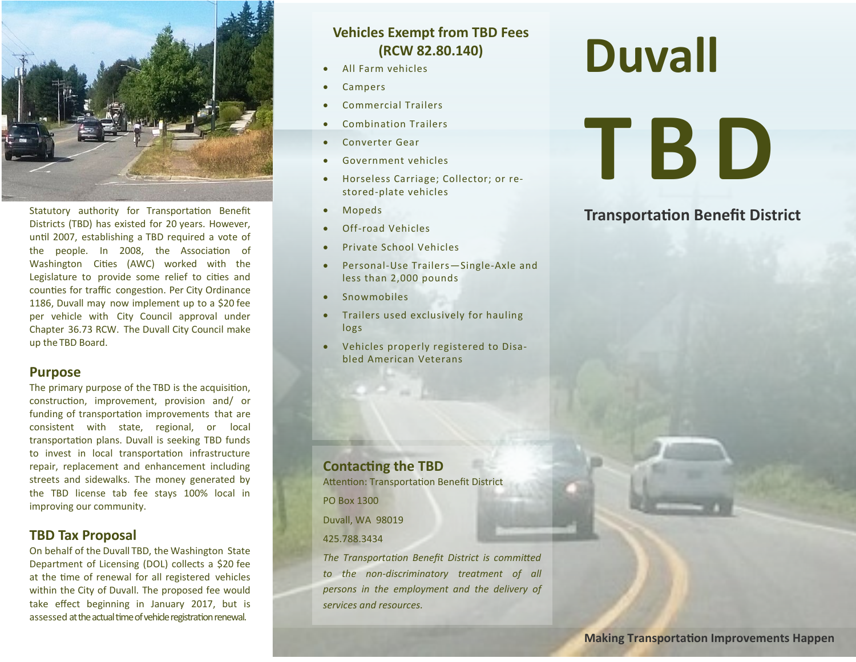

Statutory authority for Transportation Benefit Districts (TBD) has existed for 20 years. However, until 2007, establishing a TBD required a vote of the people. In 2008, the Association of Washington Cities (AWC) worked with the Legislature to provide some relief to cities and counties for traffic congestion. Per City Ordinance 1186, Duvall may now implement up to a \$20 fee per vehicle with City Council approval under Chapter 36.73 RCW. The Duvall City Council make up the TBD Board.

#### **Purpose**

The primary purpose of the TBD is the acquisition, construction, improvement, provision and/ or funding of transportation improvements that are consistent with state, regional, or local transportation plans. Duvall is seeking TBD funds to invest in local transportation infrastructure repair, replacement and enhancement including streets and sidewalks. The money generated by the TBD license tab fee stays 100% local in improving our community.

# **TBD Tax Proposal**

On behalf of the Duvall TBD, the Washington State Department of Licensing (DOL) collects a \$20 fee at the time of renewal for all registered vehicles within the City of Duvall. The proposed fee would take effect beginning in January 2017, but is assessed at the actual time of vehicle registration renewal.

# **Vehicles Exempt from TBD Fees (RCW 82.80.140)**

- All Farm vehicles
- Campers
- Commercial Trailers
- Combination Trailers
- Converter Gear
- Government vehicles
- Horseless Carriage; Collector; or restored-plate vehicles
- Mopeds
- Off-road Vehicles
- Private School Vehicles
- Personal-Use Trailers—Single-Axle and less than 2,000 pounds
- **Snowmobiles**
- Trailers used exclusively for hauling logs
- Vehicles properly registered to Disabled American Veterans

# **Duvall**

# **T B D**

# **Transportation Benefit District**

**Contacting the TBD** Attention: Transportation Benefit District PO Box 1300 Duvall, WA 98019 425.788.3434 *The Transportation Benefit District is committed to the non-discriminatory treatment of all persons in the employment and the delivery of* 

*services and resources.*